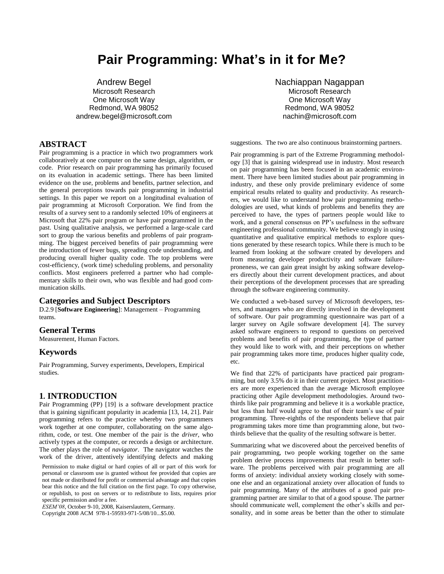# **Pair Programming: What's in it for Me?**

Andrew Begel Microsoft Research One Microsoft Way Redmond, WA 98052 andrew.begel@microsoft.com

# **ABSTRACT**

Pair programming is a practice in which two programmers work collaboratively at one computer on the same design, algorithm, or code. Prior research on pair programming has primarily focused on its evaluation in academic settings. There has been limited evidence on the use, problems and benefits, partner selection, and the general perceptions towards pair programming in industrial settings. In this paper we report on a longitudinal evaluation of pair programming at Microsoft Corporation. We find from the results of a survey sent to a randomly selected 10% of engineers at Microsoft that 22% pair program or have pair programmed in the past. Using qualitative analysis, we performed a large-scale card sort to group the various benefits and problems of pair programming. The biggest perceived benefits of pair programming were the introduction of fewer bugs, spreading code understanding, and producing overall higher quality code. The top problems were cost-efficiency, (work time) scheduling problems, and personality conflicts. Most engineers preferred a partner who had complementary skills to their own, who was flexible and had good communication skills.

#### **Categories and Subject Descriptors**

D.2.9 [**Software Engineering**]: Management – Programming teams*.*

# **General Terms**

Measurement, Human Factors.

### **Keywords**

Pair Programming, Survey experiments, Developers, Empirical studies.

## **1***.* **INTRODUCTION**

Pair Programming (PP) [19] is a software development practice that is gaining significant popularity in academia [13, 14, 21]. Pair programming refers to the practice whereby two programmers work together at one computer, collaborating on the same algorithm, code, or test. One member of the pair is the *driver,* who actively types at the computer, or records a design or architecture. The other plays the role of *navigator*. The navigator watches the work of the driver, attentively identifying defects and making

Permission to make digital or hard copies of all or part of this work for personal or classroom use is granted without fee provided that copies are not made or distributed for profit or commercial advantage and that copies bear this notice and the full citation on the first page. To copy otherwise, or republish, to post on servers or to redistribute to lists, requires prior specific permission and/or a fee.

*ESEM"08*, October 9-10, 2008, Kaiserslautern, Germany. Copyright 2008 ACM 978-1-59593-971-5/08/10...\$5.00. Nachiappan Nagappan Microsoft Research One Microsoft Way Redmond, WA 98052 nachin@microsoft.com

suggestions. The two are also continuous brainstorming partners.

Pair programming is part of the Extreme Programming methodology [3] that is gaining widespread use in industry. Most research on pair programming has been focused in an academic environment. There have been limited studies about pair programming in industry, and these only provide preliminary evidence of some empirical results related to quality and productivity. As researchers, we would like to understand how pair programming methodologies are used, what kinds of problems and benefits they are perceived to have, the types of partners people would like to work, and a general consensus on PP"s usefulness in the software engineering professional community. We believe strongly in using quantitative and qualitative empirical methods to explore questions generated by these research topics. While there is much to be learned from looking at the software created by developers and from measuring developer productivity and software failureproneness, we can gain great insight by asking software developers directly about their current development practices, and about their perceptions of the development processes that are spreading through the software engineering community.

We conducted a web-based survey of Microsoft developers, testers, and managers who are directly involved in the development of software. Our pair programming questionnaire was part of a larger survey on Agile software development [4]. The survey asked software engineers to respond to questions on perceived problems and benefits of pair programming, the type of partner they would like to work with, and their perceptions on whether pair programming takes more time, produces higher quality code, etc.

We find that 22% of participants have practiced pair programming, but only 3.5% do it in their current project. Most practitioners are more experienced than the average Microsoft employee practicing other Agile development methodologies. Around twothirds like pair programming and believe it is a workable practice, but less than half would agree to that of their team"s use of pair programming. Three-eighths of the respondents believe that pair programming takes more time than programming alone, but twothirds believe that the quality of the resulting software is better.

Summarizing what we discovered about the perceived benefits of pair programming, two people working together on the same problem derive process improvements that result in better software. The problems perceived with pair programming are all forms of anxiety: individual anxiety working closely with someone else and an organizational anxiety over allocation of funds to pair programming. Many of the attributes of a good pair programming partner are similar to that of a good spouse. The partner should communicate well, complement the other"s skills and personality, and in some areas be better than the other to stimulate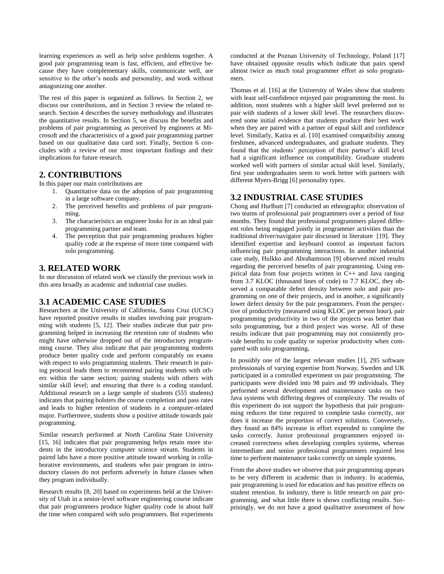learning experiences as well as help solve problems together. A good pair programming team is fast, efficient, and effective because they have complementary skills, communicate well, are sensitive to the other"s needs and personality, and work without antagonizing one another.

The rest of this paper is organized as follows. In Section 2, we discuss our contributions, and in Section 3 review the related research. Section 4 describes the survey methodology and illustrates the quantitative results. In Section 5, we discuss the benefits and problems of pair programming as perceived by engineers at Microsoft and the characteristics of a good pair programming partner based on our qualitative data card sort. Finally, Section 6 concludes with a review of our most important findings and their implications for future research.

# **2. CONTRIBUTIONS**

In this paper our main contributions are

- 1. Quantitative data on the adoption of pair programming in a large software company.
- 2. The perceived benefits and problems of pair programming.
- 3. The characteristics an engineer looks for in an ideal pair programming partner and team.
- 4. The perception that pair programming produces higher quality code at the expense of more time compared with solo programming.

# **3. RELATED WORK**

In our discussion of related work we classify the previous work in this area broadly as academic and industrial case studies.

# **3.1 ACADEMIC CASE STUDIES**

Researchers at the University of California, Santa Cruz (UCSC) have reported positive results in studies involving pair programming with students [5, 12]. Their studies indicate that pair programming helped in increasing the retention rate of students who might have otherwise dropped out of the introductory programming course. They also indicate that pair programming students produce better quality code and perform comparably on exams with respect to solo programming students. Their research in pairing protocol leads them to recommend pairing students with others within the same section; pairing students with others with similar skill level; and ensuring that there is a coding standard. Additional research on a large sample of students (555 students) indicates that pairing bolsters the course completion and pass rates and leads to higher retention of students in a computer-related major. Furthermore, students show a positive attitude towards pair programming.

Similar research performed at North Carolina State University [15, 16] indicates that pair programming helps retain more students in the introductory computer science stream. Students in paired labs have a more positive attitude toward working in collaborative environments, and students who pair program in introductory classes do not perform adversely in future classes when they program individually.

Research results [8, 20] based on experiments held at the University of Utah in a senior-level software engineering course indicate that pair programmers produce higher quality code in about half the time when compared with solo programmers. But experiments

conducted at the Poznan University of Technology, Poland [17] have obtained opposite results which indicate that pairs spend almost twice as much total programmer effort as solo programmers.

Thomas et al. [16] at the University of Wales show that students with least self-confidence enjoyed pair programming the most. In addition, most students with a higher skill level preferred not to pair with students of a lower skill level. The researchers discovered some initial evidence that students produce their best work when they are paired with a partner of equal skill and confidence level. Similarly, Katira et al. [10] examined compatibility among freshmen, advanced undergraduates, and graduate students. They found that the students' perception of their partner's skill level had a significant influence on compatibility. Graduate students worked well with partners of similar actual skill level. Similarly, first year undergraduates seem to work better with partners with different Myers-Brigg [6] personality types.

# **3.2 INDUSTRIAL CASE STUDIES**

Chong and Hurlbutt [7] conducted an ethnographic observation of two teams of professional pair programmers over a period of four months. They found that professional programmers played different roles being engaged jointly in programmer activities than the traditional driver/navigator pair discussed in literature [19]. They identified expertise and keyboard control as important factors influencing pair programming interactions. In another industrial case study, Hulkko and Abrahamsson [9] observed mixed results regarding the perceived benefits of pair programming. Using empirical data from four projects written in C++ and Java ranging from 3.7 KLOC (thousand lines of code) to 7.7 KLOC, they observed a comparable defect density between solo and pair programming on one of their projects, and in another, a significantly lower defect density for the pair programmers. From the perspective of productivity (measured using KLOC per person hour), pair programming productivity in two of the projects was better than solo programming, but a third project was worse. All of these results indicate that pair programming may not consistently provide benefits to code quality or superior productivity when compared with solo programming**.** 

In possibly one of the largest relevant studies [1], 295 software professionals of varying expertise from Norway, Sweden and UK participated in a controlled experiment on pair programming. The participants were divided into 98 pairs and 99 individuals. They performed several development and maintenance tasks on two Java systems with differing degrees of complexity. The results of this experiment do not support the hypothesis that pair programming reduces the time required to complete tasks correctly, nor does it increase the proportion of correct solutions. Conversely, they found an 84% increase in effort expended to complete the tasks correctly. Junior professional programmers enjoyed increased correctness when developing complex systems, whereas intermediate and senior professional programmers required less time to perform maintenance tasks correctly on simple systems.

From the above studies we observe that pair programming appears to be very different in academic than in industry. In academia, pair programming is used for education and has positive effects on student retention. In industry, there is little research on pair programming, and what little there is shows conflicting results. Surprisingly, we do not have a good qualitative assessment of how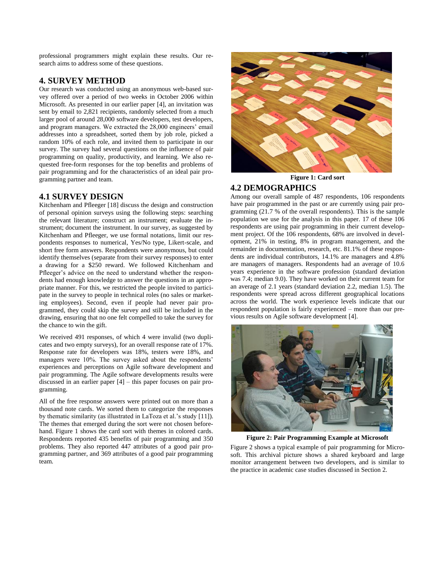professional programmers might explain these results. Our research aims to address some of these questions.

## **4. SURVEY METHOD**

Our research was conducted using an anonymous web-based survey offered over a period of two weeks in October 2006 within Microsoft. As presented in our earlier paper [4], an invitation was sent by email to 2,821 recipients, randomly selected from a much larger pool of around 28,000 software developers, test developers, and program managers. We extracted the 28,000 engineers' email addresses into a spreadsheet, sorted them by job role, picked a random 10% of each role, and invited them to participate in our survey. The survey had several questions on the influence of pair programming on quality, productivity, and learning. We also requested free-form responses for the top benefits and problems of pair programming and for the characteristics of an ideal pair programming partner and team.

### **4.1 SURVEY DESIGN**

Kitchenham and Pfleeger [18] discuss the design and construction of personal opinion surveys using the following steps: searching the relevant literature; construct an instrument; evaluate the instrument; document the instrument. In our survey, as suggested by Kitchenham and Pfleeger, we use formal notations, limit our respondents responses to numerical, Yes/No type, Likert-scale, and short free form answers. Respondents were anonymous, but could identify themselves (separate from their survey responses) to enter a drawing for a \$250 reward. We followed Kitchenham and Pfleeger's advice on the need to understand whether the respondents had enough knowledge to answer the questions in an appropriate manner. For this, we restricted the people invited to participate in the survey to people in technical roles (no sales or marketing employees). Second, even if people had never pair programmed, they could skip the survey and still be included in the drawing, ensuring that no one felt compelled to take the survey for the chance to win the gift.

We received 491 responses, of which 4 were invalid (two duplicates and two empty surveys), for an overall response rate of 17%. Response rate for developers was 18%, testers were 18%, and managers were 10%. The survey asked about the respondents' experiences and perceptions on Agile software development and pair programming. The Agile software developments results were discussed in an earlier paper [4] – this paper focuses on pair programming.

All of the free response answers were printed out on more than a thousand note cards. We sorted them to categorize the responses by thematic similarity (as illustrated in LaToza et al."s study [11]). The themes that emerged during the sort were not chosen beforehand. Figure 1 shows the card sort with themes in colored cards. Respondents reported 435 benefits of pair programming and 350 problems. They also reported 447 attributes of a good pair programming partner, and 369 attributes of a good pair programming team.



**Figure 1: Card sort**

# **4.2 DEMOGRAPHICS**

Among our overall sample of 487 respondents, 106 respondents have pair programmed in the past or are currently using pair programming (21.7 % of the overall respondents). This is the sample population we use for the analysis in this paper. 17 of these 106 respondents are using pair programming in their current development project. Of the 106 respondents, 68% are involved in development, 21% in testing, 8% in program management, and the remainder in documentation, research, etc. 81.1% of these respondents are individual contributors, 14.1% are managers and 4.8% are managers of managers. Respondents had an average of 10.6 years experience in the software profession (standard deviation was 7.4; median 9.0). They have worked on their current team for an average of 2.1 years (standard deviation 2.2, median 1.5). The respondents were spread across different geographical locations across the world. The work experience levels indicate that our respondent population is fairly experienced – more than our previous results on Agile software development [4].



**Figure 2: Pair Programming Example at Microsoft**

Figure 2 shows a typical example of pair programming for Microsoft. This archival picture shows a shared keyboard and large monitor arrangement between two developers, and is similar to the practice in academic case studies discussed in Section 2.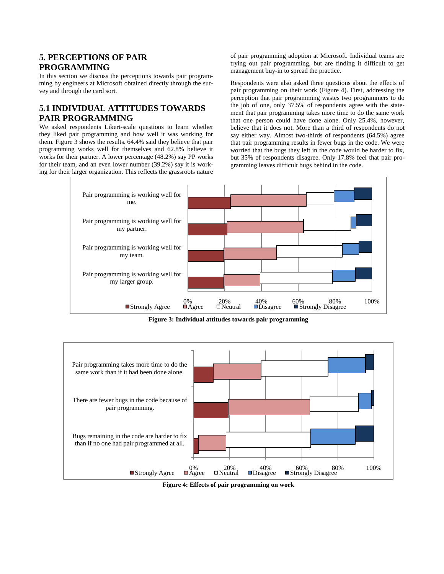# **5. PERCEPTIONS OF PAIR PROGRAMMING**

In this section we discuss the perceptions towards pair programming by engineers at Microsoft obtained directly through the survey and through the card sort.

# **5.1 INDIVIDUAL ATTITUDES TOWARDS PAIR PROGRAMMING**

We asked respondents Likert-scale questions to learn whether they liked pair programming and how well it was working for them. Figure 3 shows the results. 64.4% said they believe that pair programming works well for themselves and 62.8% believe it works for their partner. A lower percentage (48.2%) say PP works for their team, and an even lower number (39.2%) say it is working for their larger organization. This reflects the grassroots nature

of pair programming adoption at Microsoft. Individual teams are trying out pair programming, but are finding it difficult to get management buy-in to spread the practice.

Respondents were also asked three questions about the effects of pair programming on their work (Figure 4). First, addressing the perception that pair programming wastes two programmers to do the job of one, only 37.5% of respondents agree with the statement that pair programming takes more time to do the same work that one person could have done alone. Only 25.4%, however, believe that it does not. More than a third of respondents do not say either way. Almost two-thirds of respondents (64.5%) agree that pair programming results in fewer bugs in the code. We were worried that the bugs they left in the code would be harder to fix, but 35% of respondents disagree. Only 17.8% feel that pair programming leaves difficult bugs behind in the code.



**Figure 3: Individual attitudes towards pair programming**



**Figure 4: Effects of pair programming on work**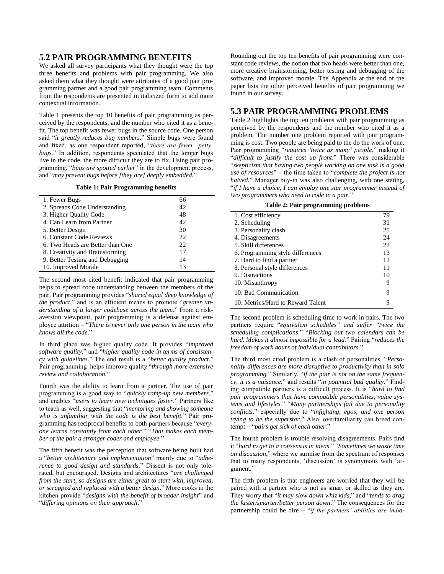### **5.2 PAIR PROGRAMMING BENEFITS**

We asked all survey participants what they thought were the top three benefits and problems with pair programming. We also asked them what they thought were attributes of a good pair programming partner and a good pair programming team. Comments from the respondents are presented in italicized form to add more contextual information.

Table 1 presents the top 10 benefits of pair programming as perceived by the respondents, and the number who cited it as a benefit. The top benefit was fewer bugs in the source code. One person said "*it greatly reduces bug numbers.*" Simple bugs were found and fixed, as one respondent reported, "*there are fewer "petty" bugs.*" In addition, respondents speculated that the longer bugs live in the code, the more difficult they are to fix. Using pair programming, "*bugs are spotted earlier*" in the development process, and "*may prevent bugs before [they are] deeply embedded.*"

**Table 1: Pair Programming benefits**

| 1. Fewer Bugs                    | 66  |
|----------------------------------|-----|
| 2. Spreads Code Understanding    | 42  |
| 3. Higher Quality Code           | 48  |
| 4. Can Learn from Partner        | 42. |
| 5. Better Design                 | 30  |
| 6. Constant Code Reviews         | 22  |
| 6. Two Heads are Better than One | 22  |
| 8. Creativity and Brainstorming  | 17  |
| 9. Better Testing and Debugging  | 14  |
| 10. Improved Morale              | 13  |

The second most cited benefit indicated that pair programming helps to spread code understanding between the members of the pair. Pair programming provides "*shared equal deep knowledge of the product*," and is an efficient means to promote "*greater understanding of a larger codebase across the team.*" From a riskaversion viewpoint, pair programming is a defense against employee attrition – "*There is never only one person in the team who knows all the code.*"

In third place was higher quality code. It provides "*improved software quality,*" and "*higher quality code in terms of consistency with guidelines.*" The end result is a "*better quality product.*" Pair programming helps improve quality "*through more extensive review and collaboration.*"

Fourth was the ability to learn from a partner. The use of pair programming is a good way to "*quickly ramp-up new members*," and enables "*users to learn new techniques faster*." Partners like to teach as well, suggesting that "*mentoring and showing someone who is unfamiliar with the code is the best benefit.*" Pair programming has reciprocal benefits to both partners because "*everyone learns constantly from each other.*" "*That makes each member of the pair a stronger coder and employee.*"

The fifth benefit was the perception that software being built had a "*better architecture and implementation*" mainly due to "*adherence to good design and standards.*" Dissent is not only tolerated, but encouraged. Designs and architectures "*are challenged from the start, so designs are either great to start with, improved, or scrapped and replaced with a better design*." More cooks in the kitchen provide "*designs with the benefit of broader insight*" and "*differing opinions on their approach*."

Rounding out the top ten benefits of pair programming were constant code reviews, the notion that two heads were better than one, more creative brainstorming, better testing and debugging of the software, and improved morale. The Appendix at the end of the paper lists the other perceived benefits of pair programming we found in our survey.

# **5.3 PAIR PROGRAMMING PROBLEMS**

Table 2 highlights the top ten problems with pair programming as perceived by the respondents and the number who cited it as a problem. The number one problem reported with pair programming is cost. Two people are being paid to the do the work of one. Pair programming "*requires "twice as many" people*," making it "*difficult to justify the cost up front*." There was considerable "*skepticism that having two people working on one task is a good use of resources*" – the time taken to "*complete the project is not halved.*" Manager buy-in was also challenging, with one stating, "*if I have a choice, I can employ one star programmer instead of two programmers who need to code in a pair.*"

|  | Table 2: Pair programming problems |  |
|--|------------------------------------|--|
|--|------------------------------------|--|

| 79 |
|----|
| 31 |
| 25 |
| 24 |
| 22 |
| 13 |
| 12 |
| 11 |
| 10 |
| 9  |
| 9  |
| 9  |
|    |

The second problem is scheduling time to work in pairs. The two partners require "*equivalent schedules" and suffer "twice the scheduling complications*." "*Blocking out two calendars can be hard. Makes it almost impossible for a lead.*" Pairing "*reduces the freedom of work hours of individual contributors.*"

The third most cited problem is a clash of personalities. "*Personality differences are more disruptive to productivity than in solo programming.*" Similarly, "*if the pair is not on the same frequency, it is a nuisance*," and results "*in potential bad quality*." Finding compatible partners is a difficult process. It is "*hard to find pair programmers that have compatible personalities, value systems and lifestyles.*" "*Many partnerships fail due to personality conflicts,*" especially due to "*infighting, egos, and one person trying to be the superstar.*" Also, overfamiliarity can breed contempt – "*pairs get sick of each other.*"

The fourth problem is trouble resolving disagreements. Pairs find it "*hard to get to a consensus in ideas*." "*Sometimes we waste time on discussion*," where we surmise from the spectrum of responses that to many respondents, "discussion" is synonymous with "argument.'

The fifth problem is that engineers are worried that they will be paired with a partner who is not as smart or skilled as they are. They worry that "*it may slow down whiz kids,*" and "*tends to drag the faster/smarter/better person down*." The consequences for the partnership could be dire – "*if the partners" abilities are imba-*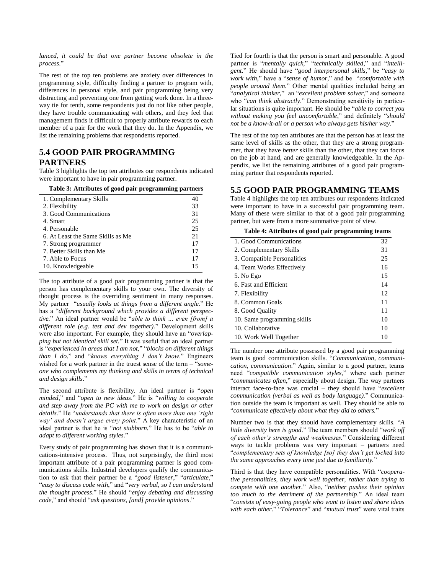*lanced, it could be that one partner become obsolete in the process*."

The rest of the top ten problems are anxiety over differences in programming style, difficulty finding a partner to program with, differences in personal style, and pair programming being very distracting and preventing one from getting work done. In a threeway tie for tenth, some respondents just do not like other people, they have trouble communicating with others, and they feel that management finds it difficult to properly attribute rewards to each member of a pair for the work that they do. In the Appendix, we list the remaining problems that respondents reported.

# **5.4 GOOD PAIR PROGRAMMING PARTNERS**

Table 3 highlights the top ten attributes our respondents indicated were important to have in pair programming partner.

|  |  | Table 3: Attributes of good pair programming partners |  |
|--|--|-------------------------------------------------------|--|

| 1. Complementary Skills           | 40 |
|-----------------------------------|----|
| 2. Flexibility                    | 33 |
| 3. Good Communications            | 31 |
| 4. Smart                          | 25 |
| 4. Personable                     | 25 |
| 6. At Least the Same Skills as Me | 21 |
| 7. Strong programmer              | 17 |
| 7. Better Skills than Me          | 17 |
| 7. Able to Focus                  | 17 |
| 10. Knowledgeable                 | 15 |
|                                   |    |

The top attribute of a good pair programming partner is that the person has complementary skills to your own. The diversity of thought process is the overriding sentiment in many responses. My partner "*usually looks at things from a different angle.*" He has a "*different background which provides a different perspective.*" An ideal partner would be "*able to think … even [from] a different role (e.g. test and dev together).*" Development skills were also important. For example, they should have an "*overlapping but not identical skill set.*" It was useful that an ideal partner is "*experienced in areas that I am not,*" "*blocks on different things than I do*," and "*knows everything I don"t know*." Engineers wished for a work partner in the truest sense of the term – "*someone who complements my thinking and skills in terms of technical and design skills*."

The second attribute is flexibility. An ideal partner is "*open minded*," and "*open to new ideas*." He is "*willing to cooperate and step away from the PC with me to work on design or other details.*" He "*understands that there is often more than one "right way" and doesn"t argue every point.*" A key characteristic of an ideal partner is that he is "*not stubborn.*" He has to be "*able to adapt to different working styles*."

Every study of pair programming has shown that it is a communications-intensive process. Thus, not surprisingly, the third most important attribute of a pair programming partner is good communications skills. Industrial developers qualify the communication to ask that their partner be a "*good listener*," "*articulate*," "*easy to discuss code with*," and "*very verbal, so I can understand the thought process*." He should "*enjoy debating and discussing code*," and should "*ask questions, [and] provide opinions*."

Tied for fourth is that the person is smart and personable. A good partner is "*mentally quick,*" "*technically skilled*," and "*intelligent*." He should have "*good interpersonal skills,*" be "*easy to work with*," have a "*sense of humor,*" and be "*comfortable with people around them.*" Other mental qualities included being an "*analytical thinker,*" an "*excellent problem solver*," and someone who "*can think abstractly*." Demonstrating sensitivity in particular situations is quite important. He should be "*able to correct you without making you feel uncomfortable*," and definitely "*should not be a know-it-all or a person who always gets his/her way*."

The rest of the top ten attributes are that the person has at least the same level of skills as the other, that they are a strong programmer, that they have *better* skills than the other, that they can focus on the job at hand, and are generally knowledgeable. In the Appendix, we list the remaining attributes of a good pair programming partner that respondents reported.

#### **5.5 GOOD PAIR PROGRAMMING TEAMS**

Table 4 highlights the top ten attributes our respondents indicated were important to have in a successful pair programming team. Many of these were similar to that of a good pair programming partner, but were from a more summative point of view.

|  |  | Table 4: Attributes of good pair programming teams |  |
|--|--|----------------------------------------------------|--|
|  |  |                                                    |  |

| 1. Good Communications      | 32 |
|-----------------------------|----|
| 2. Complementary Skills     | 31 |
| 3. Compatible Personalities | 25 |
| 4. Team Works Effectively   | 16 |
| 5. No Ego                   | 15 |
| 6. Fast and Efficient       | 14 |
| 7. Flexibility              | 12 |
| 8. Common Goals             | 11 |
| 8. Good Quality             | 11 |
| 10. Same programming skills | 10 |
| 10. Collaborative           | 10 |
| 10. Work Well Together      | 10 |

The number one attribute possessed by a good pair programming team is good communication skills. "*Communication, communication, communication*." Again, similar to a good partner, teams need "*compatible communication styles*," where each partner "*communicates often*," especially about design. The way partners interact face-to-face was crucial – they should have "*excellent communication (verbal as well as body language).*" Communication outside the team is important as well. They should be able to "*communicate effectively about what they did to others.*"

Number two is that they should have complementary skills. "*A little diversity here is good*." The team members should "*work off of each other"s strengths and weaknesses.*" Considering different ways to tackle problems was very important – partners need "*complementary sets of knowledge [so] they don"t get locked into the same approaches every time just due to familiarity.*"

Third is that they have compatible personalities. With "*cooperative personalities, they work well together, rather than trying to compete with one another.*" Also, "*neither pushes their opinion too much to the detriment of the partnership*." An ideal team "*consists of easy-going people who want to listen and share ideas with each other.*" "*Tolerance*" and "*mutual trust*" were vital traits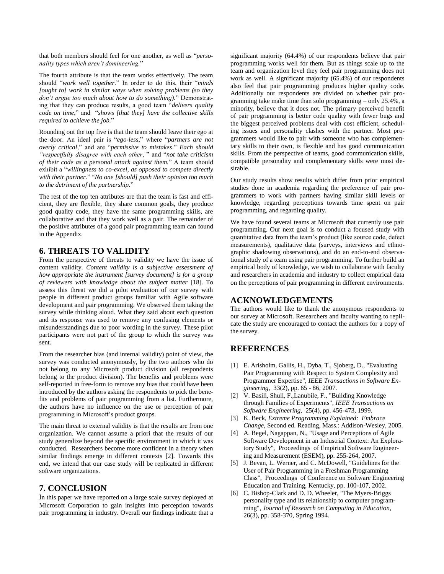that both members should feel for one another, as well as "*personality types which aren"t domineering.*"

The fourth attribute is that the team works effectively. The team should "*work well together.*" In order to do this, their "*minds [ought to] work in similar ways when solving problems (so they don"t argue too much about how to do something).*" Demonstrating that they can produce results, a good team "*delivers quality code on time*," and "*shows [that they] have the collective skills required to achieve the job.*"

Rounding out the top five is that the team should leave their ego at the door. An ideal pair is "*ego-less*," where "*partners are not overly critical*," and are "*permissive to mistakes*." *Each should "respectfully disagree with each other*, " and "*not take criticism of their code as a personal attack against them.*" A team should exhibit a "*willingness to co-excel, as opposed to compete directly with their partner.*" "*No one [should] push their opinion too much to the detriment of the partnership.*"

The rest of the top ten attributes are that the team is fast and efficient, they are flexible, they share common goals, they produce good quality code, they have the same programming skills, are collaborative and that they work well as a pair. The remainder of the positive attributes of a good pair programming team can found in the Appendix.

# **6. THREATS TO VALIDITY**

From the perspective of threats to validity we have the issue of content validity. *Content validity is a subjective assessment of how appropriate the instrument [survey document] is for a group of reviewers with knowledge about the subject matter* [18]. To assess this threat we did a pilot evaluation of our survey with people in different product groups familiar with Agile software development and pair programming. We observed them taking the survey while thinking aloud. What they said about each question and its response was used to remove any confusing elements or misunderstandings due to poor wording in the survey. These pilot participants were not part of the group to which the survey was sent.

From the researcher bias (and internal validity) point of view, the survey was conducted anonymously, by the two authors who do not belong to any Microsoft product division (all respondents belong to the product division). The benefits and problems were self-reported in free-form to remove any bias that could have been introduced by the authors asking the respondents to pick the benefits and problems of pair programming from a list. Furthermore, the authors have no influence on the use or perception of pair programming in Microsoft's product groups.

The main threat to external validity is that the results are from one organization. We cannot assume a priori that the results of our study generalize beyond the specific environment in which it was conducted. Researchers become more confident in a theory when similar findings emerge in different contexts [2]. Towards this end, we intend that our case study will be replicated in different software organizations.

# **7. CONCLUSION**

In this paper we have reported on a large scale survey deployed at Microsoft Corporation to gain insights into perception towards pair programming in industry. Overall our findings indicate that a

significant majority (64.4%) of our respondents believe that pair programming works well for them. But as things scale up to the team and organization level they feel pair programming does not work as well. A significant majority (65.4%) of our respondents also feel that pair programming produces higher quality code. Additionally our respondents are divided on whether pair programming take make time than solo programming – only 25.4%, a minority, believe that it does not. The primary perceived benefit of pair programming is better code quality with fewer bugs and the biggest perceived problems deal with cost efficient, scheduling issues and personality clashes with the partner. Most programmers would like to pair with someone who has complementary skills to their own, is flexible and has good communication skills. From the perspective of teams, good communication skills, compatible personality and complementary skills were most desirable.

Our study results show results which differ from prior empirical studies done in academia regarding the preference of pair programmers to work with partners having similar skill levels or knowledge, regarding perceptions towards time spent on pair programming, and regarding quality.

We have found several teams at Microsoft that currently use pair programming. Our next goal is to conduct a focused study with quantitative data from the team"s product (like source code, defect measurements), qualitative data (surveys, interviews and ethnographic shadowing observations), and do an end-to-end observational study of a team using pair programming. To further build an empirical body of knowledge, we wish to collaborate with faculty and researchers in academia and industry to collect empirical data on the perceptions of pair programming in different environments.

## **ACKNOWLEDGEMENTS**

The authors would like to thank the anonymous respondents to our survey at Microsoft. Researchers and faculty wanting to replicate the study are encouraged to contact the authors for a copy of the survey.

# **REFERENCES**

- [1] E. Arisholm, Gallis, H., Dyba, T., Sjoberg, D., "Evaluating Pair Programming with Respect to System Complexity and Programmer Expertise", *IEEE Transactions in Software Engineering*, 33(2), pp. 65 - 86, 2007.
- [2] V. Basili, Shull, F.,Lanubile, F., "Building Knowledge through Families of Experiments", *IEEE Transactions on Software Engineering*, 25(4), pp. 456-473, 1999.
- [3] K. Beck, *Extreme Programming Explained: Embrace Change*, Second ed. Reading, Mass.: Addison-Wesley, 2005.
- [4] A. Begel, Nagappan, N., "Usage and Perceptions of Agile Software Development in an Industrial Context: An Exploratory Study", Proceedings of Empirical Software Engineering and Measurement (ESEM), pp. 255-264, 2007.
- [5] J. Bevan, L. Werner, and C. McDowell, "Guidelines for the User of Pair Programming in a Freshman Programming Class", Proceedings of Conference on Software Engineering Education and Training, Kentucky, pp. 100-107, 2002.
- [6] C. Bishop-Clark and D. D. Wheeler, "The Myers-Briggs personality type and its relationship to computer programming", *Journal of Research on Computing in Education*, 26(3), pp. 358-370, Spring 1994.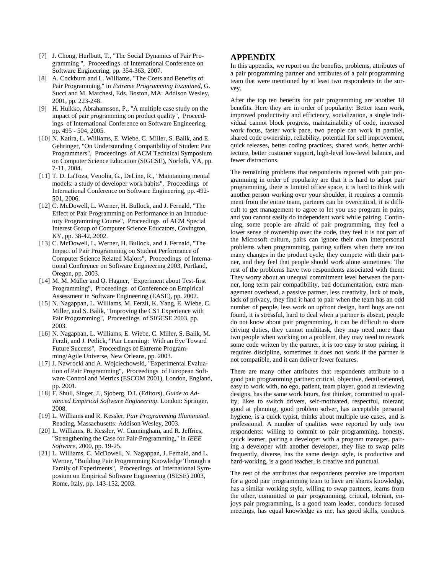- [7] J. Chong, Hurlbutt, T., "The Social Dynamics of Pair Programming ", Proceedings of International Conference on Software Engineering, pp. 354-363, 2007.
- [8] A. Cockburn and L. Williams, "The Costs and Benefits of Pair Programming," in *Extreme Programming Examined*, G. Succi and M. Marchesi, Eds. Boston, MA: Addison Wesley, 2001, pp. 223-248.
- [9] H. Hulkko, Abrahamsson, P., "A multiple case study on the impact of pair programming on product quality", Proceedings of International Conference on Software Engineering, pp. 495 - 504, 2005.
- [10] N. Katira, L. Williams, E. Wiebe, C. Miller, S. Balik, and E. Gehringer, "On Understanding Compatibility of Student Pair Programmers", Proceedings of ACM Technical Symposium on Computer Science Education (SIGCSE), Norfolk, VA, pp. 7-11, 2004.
- [11] T. D. LaToza, Venolia, G., DeLine, R., "Maintaining mental models: a study of developer work habits", Proceedings of International Conference on Software Engineering, pp. 492- 501, 2006.
- [12] C. McDowell, L. Werner, H. Bullock, and J. Fernald, "The Effect of Pair Programming on Performance in an Introductory Programming Course", Proceedings of ACM Special Interest Group of Computer Science Educators, Covington, KY, pp. 38-42, 2002.
- [13] C. McDowell, L. Werner, H. Bullock, and J. Fernald, "The Impact of Pair Programming on Student Performance of Computer Science Related Majors", Proceedings of International Conference on Software Engineering 2003, Portland, Oregon, pp. 2003.
- [14] M. M. Müller and O. Hagner, "Experiment about Test-first Programming", Proceedings of Conference on Empirical Assessment in Software Engineering (EASE), pp. 2002.
- [15] N. Nagappan, L. Williams, M. Ferzli, K. Yang, E. Wiebe, C. Miller, and S. Balik, "Improving the CS1 Experience with Pair Programming", Proceedings of SIGCSE 2003, pp. 2003.
- [16] N. Nagappan, L. Williams, E. Wiebe, C. Miller, S. Balik, M. Ferzli, and J. Petlick, "Pair Learning: With an Eye Toward Future Success", Proceedings of Extreme Programming/Agile Universe, New Orleans, pp. 2003.
- [17] J. Nawrocki and A. Wojciechowski, "Experimental Evaluation of Pair Programming", Proceedings of European Software Control and Metrics (ESCOM 2001), London, England, pp. 2001.
- [18] F. Shull, Singer, J., Sjoberg, D.I. (Editors), *Guide to Advanced Empirical Software Engineering*. London: Springer, 2008.
- [19] L. Williams and R. Kessler, *Pair Programming Illuminated*. Reading, Massachusetts: Addison Wesley, 2003.
- [20] L. Williams, R. Kessler, W. Cunningham, and R. Jeffries, "Strengthening the Case for Pair-Programming," in *IEEE Software*, 2000, pp. 19-25.
- [21] L. Williams, C. McDowell, N. Nagappan, J. Fernald, and L. Werner, "Building Pair Programming Knowledge Through a Family of Experiments", Proceedings of International Symposium on Empirical Software Engineering (ISESE) 2003, Rome, Italy, pp. 143-152, 2003.

### **APPENDIX**

In this appendix, we report on the benefits, problems, attributes of a pair programming partner and attributes of a pair programming team that were mentioned by at least two respondents in the survey.

After the top ten benefits for pair programming are another 18 benefits. Here they are in order of popularity: Better team work, improved productivity and efficiency, socialization, a single individual cannot block progress, maintainability of code, increased work focus, faster work pace, two people can work in parallel, shared code ownership, reliability, potential for self improvement, quick releases, better coding practices, shared work, better architecture, better customer support, high-level low-level balance, and fewer distractions.

The remaining problems that respondents reported with pair programming in order of popularity are that it is hard to adopt pair programming, there is limited office space, it is hard to think with another person working over your shoulder, it requires a commitment from the entire team, partners can be overcritical, it is difficult to get management to agree to let you use program in pairs, and you cannot easily do independent work while pairing. Continuing, some people are afraid of pair programming, they feel a lower sense of ownership over the code, they feel it is not part of the Microsoft culture, pairs can ignore their own interpersonal problems when programming, pairing suffers when there are too many changes in the product cycle, they compete with their partner, and they feel that people should work alone sometimes. The rest of the problems have two respondents associated with them: They worry about an unequal commitment level between the partner, long term pair compatibility, bad documentation, extra management overhead, a passive partner, less creativity, lack of tools, lack of privacy, they find it hard to pair when the team has an odd number of people, less work on upfront design, hard bugs are not found, it is stressful, hard to deal when a partner is absent, people do not know about pair programming, it can be difficult to share driving duties, they cannot multitask, they may need more than two people when working on a problem, they may need to rework some code written by the partner, it is too easy to stop pairing, it requires discipline, sometimes it does not work if the partner is not compatible, and it can deliver fewer features.

There are many other attributes that respondents attribute to a good pair programming partner: critical, objective, detail-oriented, easy to work with, no ego, patient, team player, good at reviewing designs, has the same work hours, fast thinker, committed to quality, likes to switch drivers, self-motivated, respectful, tolerant, good at planning, good problem solver, has acceptable personal hygiene, is a quick typist, thinks about multiple use cases, and is professional. A number of qualities were reported by only two respondents: willing to commit to pair programming, honesty, quick learner, pairing a developer with a program manager, pairing a developer with another developer, they like to swap pairs frequently, diverse, has the same design style, is productive and hard-working, is a good teacher, is creative and punctual.

The rest of the attributes that respondents perceive are important for a good pair programming team to have are shares knowledge, has a similar working style, willing to swap partners, learns from the other, committed to pair programming, critical, tolerant, enjoys pair programming, is a good team leader, conducts focused meetings, has equal knowledge as me, has good skills, conducts